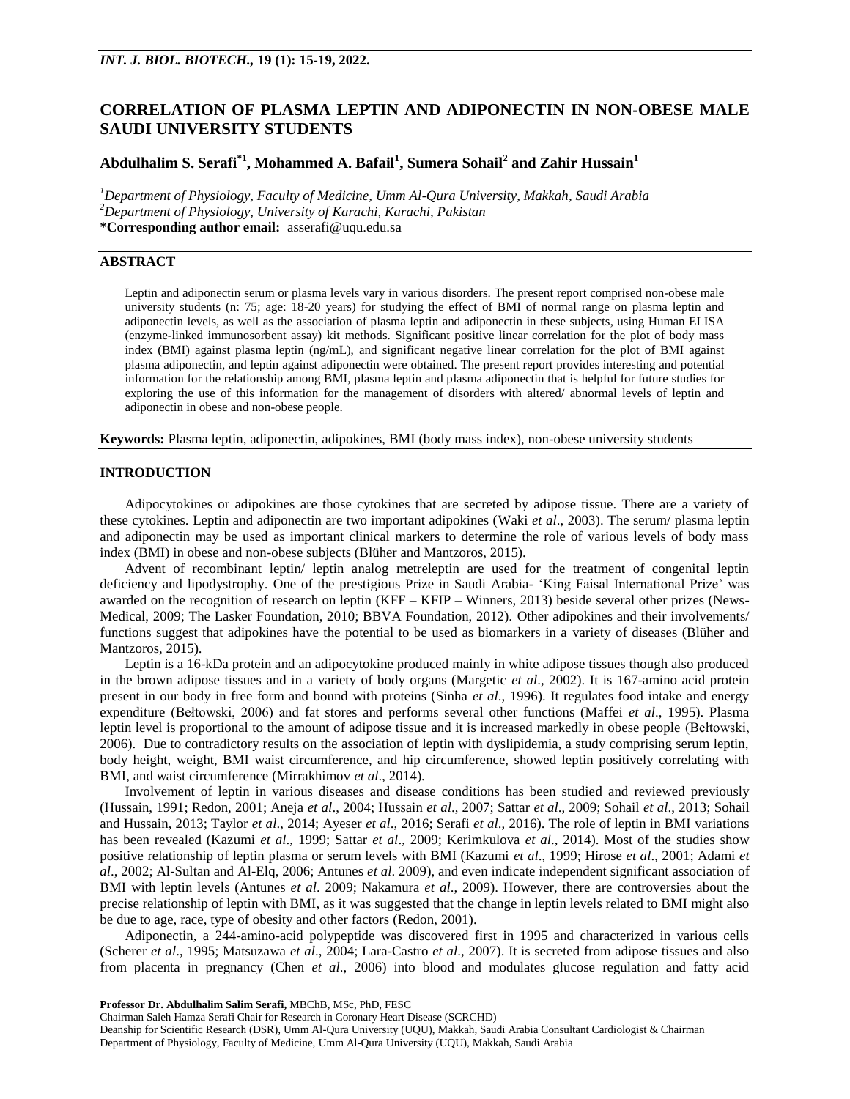# **CORRELATION OF PLASMA LEPTIN AND ADIPONECTIN IN NON-OBESE MALE SAUDI UNIVERSITY STUDENTS**

## **Abdulhalim S. Serafi\*1 , Mohammed A. Bafail<sup>1</sup> , Sumera Sohail<sup>2</sup> and Zahir Hussain<sup>1</sup>**

*<sup>1</sup>Department of Physiology, Faculty of Medicine, Umm Al-Qura University, Makkah, Saudi Arabia <sup>2</sup>Department of Physiology, University of Karachi, Karachi, Pakistan* **\*Corresponding author email:** [asserafi@uqu.edu.sa](mailto:asserafi@uqu.edu.sa)

## **ABSTRACT**

Leptin and adiponectin serum or plasma levels vary in various disorders. The present report comprised non-obese male university students (n: 75; age: 18-20 years) for studying the effect of BMI of normal range on plasma leptin and adiponectin levels, as well as the association of plasma leptin and adiponectin in these subjects, using Human ELISA (enzyme-linked immunosorbent assay) kit methods. Significant positive linear correlation for the plot of body mass index (BMI) against plasma leptin (ng/mL), and significant negative linear correlation for the plot of BMI against plasma adiponectin, and leptin against adiponectin were obtained. The present report provides interesting and potential information for the relationship among BMI, plasma leptin and plasma adiponectin that is helpful for future studies for exploring the use of this information for the management of disorders with altered/ abnormal levels of leptin and adiponectin in obese and non-obese people.

**Keywords:** Plasma leptin, adiponectin, adipokines, BMI (body mass index), non-obese university students

## **INTRODUCTION**

Adipocytokines or adipokines are those cytokines that are secreted by adipose tissue. There are a variety of these cytokines. Leptin and adiponectin are two important adipokines (Waki *et al*., 2003). The serum/ plasma leptin and adiponectin may be used as important clinical markers to determine the role of various levels of body mass index (BMI) in obese and non-obese subjects (Blüher and Mantzoros, 2015).

Advent of recombinant leptin/ leptin analog metreleptin are used for the treatment of congenital leptin deficiency and lipodystrophy. One of the prestigious Prize in Saudi Arabia- 'King Faisal International Prize' was awarded on the recognition of research on leptin (KFF – KFIP – Winners, 2013) beside several other prizes (News-Medical, 2009; The Lasker Foundation, 2010; BBVA Foundation, 2012). Other adipokines and their involvements/ functions suggest that adipokines have the potential to be used as biomarkers in a variety of diseases (Blüher and Mantzoros, 2015).

Leptin is a 16-kDa protein and an adipocytokine produced mainly in white adipose tissues though also produced in the brown adipose tissues and in a variety of body organs (Margetic *et al*., 2002). It is 167-amino acid protein present in our body in free form and bound with proteins (Sinha *et al*., 1996). It regulates food intake and energy expenditure (Bełtowski, 2006) and fat stores and performs several other functions (Maffei *et al*., 1995). Plasma leptin level is proportional to the amount of adipose tissue and it is increased markedly in obese people (Bełtowski, 2006). Due to contradictory results on the association of leptin with dyslipidemia, a study comprising serum leptin, body height, weight, BMI waist circumference, and hip circumference, showed leptin positively correlating with BMI, and waist circumference (Mirrakhimov *et al*., 2014).

Involvement of leptin in various diseases and disease conditions has been studied and reviewed previously (Hussain, 1991; Redon, 2001; Aneja *et al*., 2004; Hussain *et al*., 2007; Sattar *et al*., 2009; Sohail *et al*., 2013; Sohail and Hussain, 2013; Taylor *et al*., 2014; Ayeser *et al*., 2016; Serafi *et al*., 2016). The role of leptin in BMI variations has been revealed (Kazumi *et al*., 1999; Sattar *et al*., 2009; Kerimkulova *et al*., 2014). Most of the studies show positive relationship of leptin plasma or serum levels with BMI (Kazumi *et al*., 1999; Hirose *et al*., 2001; Adami *et al*., 2002; Al-Sultan and Al-Elq, 2006; Antunes *et al*. 2009), and even indicate independent significant association of BMI with leptin levels (Antunes *et al*. 2009; Nakamura *et al*., 2009). However, there are controversies about the precise relationship of leptin with BMI, as it was suggested that the change in leptin levels related to BMI might also be due to age, race, type of obesity and other factors (Redon, 2001).

Adiponectin, a 244-amino-acid polypeptide was discovered first in 1995 and characterized in various cells (Scherer *et al*., 1995; Matsuzawa *et al*., 2004; Lara-Castro *et al*., 2007). It is secreted from adipose tissues and also from placenta in pregnancy (Chen *et al*., 2006) into blood and modulates glucose regulation and fatty acid

**Professor Dr. Abdulhalim Salim Serafi,** MBChB, MSc, PhD, FESC

Chairman Saleh Hamza Serafi Chair for Research in Coronary Heart Disease (SCRCHD)

Deanship for Scientific Research (DSR), Umm Al-Qura University (UQU), Makkah, Saudi Arabia Consultant Cardiologist & Chairman Department of Physiology, Faculty of Medicine, Umm Al-Qura University (UQU), Makkah, Saudi Arabia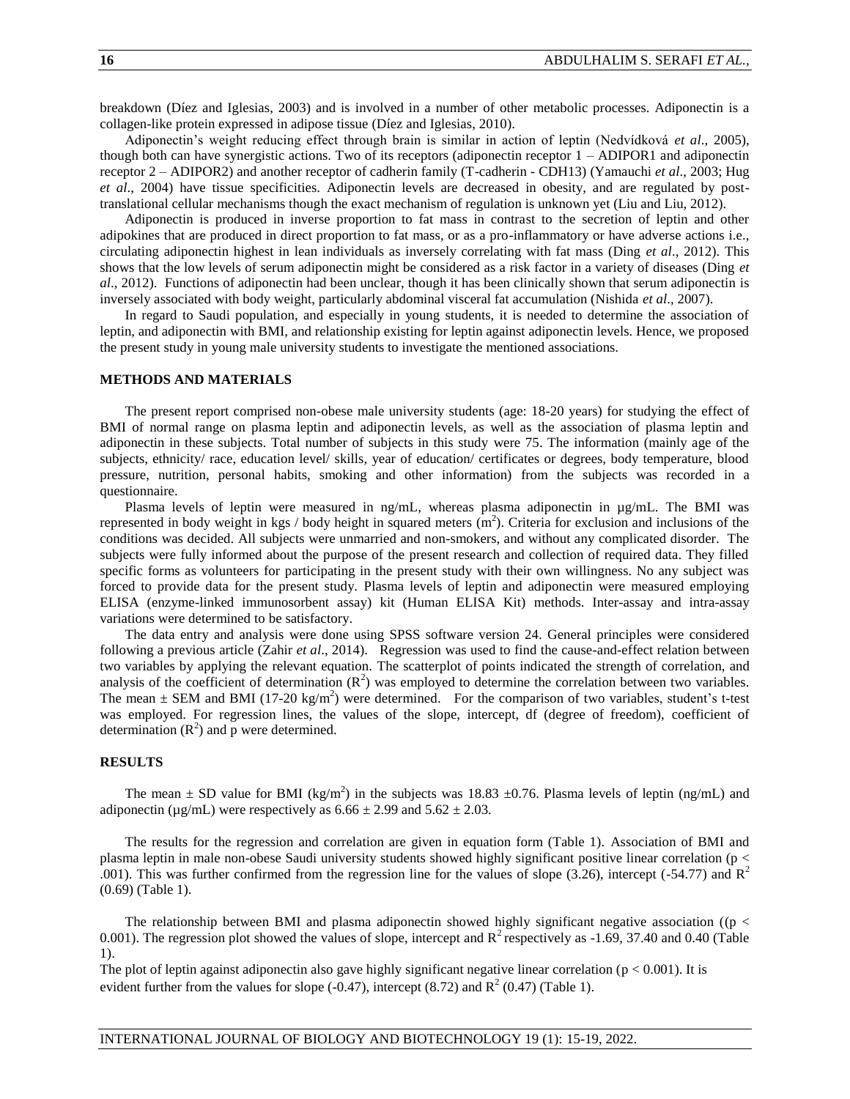breakdown (Díez and Iglesias, 2003) and is involved in a number of other metabolic processes. Adiponectin is a collagen-like protein expressed in adipose tissue (Díez and Iglesias, 2010).

Adiponectin's weight reducing effect through brain is similar in action of leptin (Nedvídková *et al*., 2005), though both can have synergistic actions. Two of its receptors (adiponectin receptor 1 – ADIPOR1 and adiponectin receptor 2 – ADIPOR2) and another receptor of cadherin family (T-cadherin - CDH13) (Yamauchi *et al*., 2003; Hug *et al*., 2004) have tissue specificities. Adiponectin levels are decreased in obesity, and are regulated by posttranslational cellular mechanisms though the exact mechanism of regulation is unknown yet (Liu and Liu, 2012).

Adiponectin is produced in inverse proportion to fat mass in contrast to the secretion of leptin and other adipokines that are produced in direct proportion to fat mass, or as a pro-inflammatory or have adverse actions i.e., circulating adiponectin highest in lean individuals as inversely correlating with fat mass (Ding *et al*., 2012). This shows that the low levels of serum adiponectin might be considered as a risk factor in a variety of diseases (Ding *et al*., 2012). Functions of adiponectin had been unclear, though it has been clinically shown that serum adiponectin is inversely associated with body weight, particularly abdominal visceral fat accumulation (Nishida *et al*., 2007).

In regard to Saudi population, and especially in young students, it is needed to determine the association of leptin, and adiponectin with BMI, and relationship existing for leptin against adiponectin levels. Hence, we proposed the present study in young male university students to investigate the mentioned associations.

#### **METHODS AND MATERIALS**

The present report comprised non-obese male university students (age: 18-20 years) for studying the effect of BMI of normal range on plasma leptin and adiponectin levels, as well as the association of plasma leptin and adiponectin in these subjects. Total number of subjects in this study were 75. The information (mainly age of the subjects, ethnicity/ race, education level/ skills, year of education/ certificates or degrees, body temperature, blood pressure, nutrition, personal habits, smoking and other information) from the subjects was recorded in a questionnaire.

Plasma levels of leptin were measured in ng/mL, whereas plasma adiponectin in µg/mL. The BMI was represented in body weight in kgs / body height in squared meters  $(m<sup>2</sup>)$ . Criteria for exclusion and inclusions of the conditions was decided. All subjects were unmarried and non-smokers, and without any complicated disorder. The subjects were fully informed about the purpose of the present research and collection of required data. They filled specific forms as volunteers for participating in the present study with their own willingness. No any subject was forced to provide data for the present study. Plasma levels of leptin and adiponectin were measured employing ELISA (enzyme-linked immunosorbent assay) kit (Human ELISA Kit) methods. Inter-assay and intra-assay variations were determined to be satisfactory.

The data entry and analysis were done using SPSS software version 24. General principles were considered following a previous article (Zahir *et al*., 2014). Regression was used to find the cause-and-effect relation between two variables by applying the relevant equation. The scatterplot of points indicated the strength of correlation, and analysis of the coefficient of determination  $(R^2)$  was employed to determine the correlation between two variables. The mean  $\pm$  SEM and BMI (17-20 kg/m<sup>2</sup>) were determined. For the comparison of two variables, student's t-test was employed. For regression lines, the values of the slope, intercept, df (degree of freedom), coefficient of determination  $(R^2)$  and p were determined.

### **RESULTS**

The mean  $\pm$  SD value for BMI (kg/m<sup>2</sup>) in the subjects was 18.83  $\pm$ 0.76. Plasma levels of leptin (ng/mL) and adiponectin ( $\mu$ g/mL) were respectively as  $6.66 \pm 2.99$  and  $5.62 \pm 2.03$ .

The results for the regression and correlation are given in equation form (Table 1). Association of BMI and plasma leptin in male non-obese Saudi university students showed highly significant positive linear correlation (p < .001). This was further confirmed from the regression line for the values of slope (3.26), intercept (-54.77) and  $\mathbb{R}^2$ (0.69) (Table 1).

The relationship between BMI and plasma adiponectin showed highly significant negative association ( $(p <$ 0.001). The regression plot showed the values of slope, intercept and  $R^2$  respectively as -1.69, 37.40 and 0.40 (Table 1).

The plot of leptin against adiponectin also gave highly significant negative linear correlation  $(p < 0.001)$ . It is evident further from the values for slope  $(-0.47)$ , intercept  $(8.72)$  and  $\mathbb{R}^2$   $(0.47)$  (Table 1).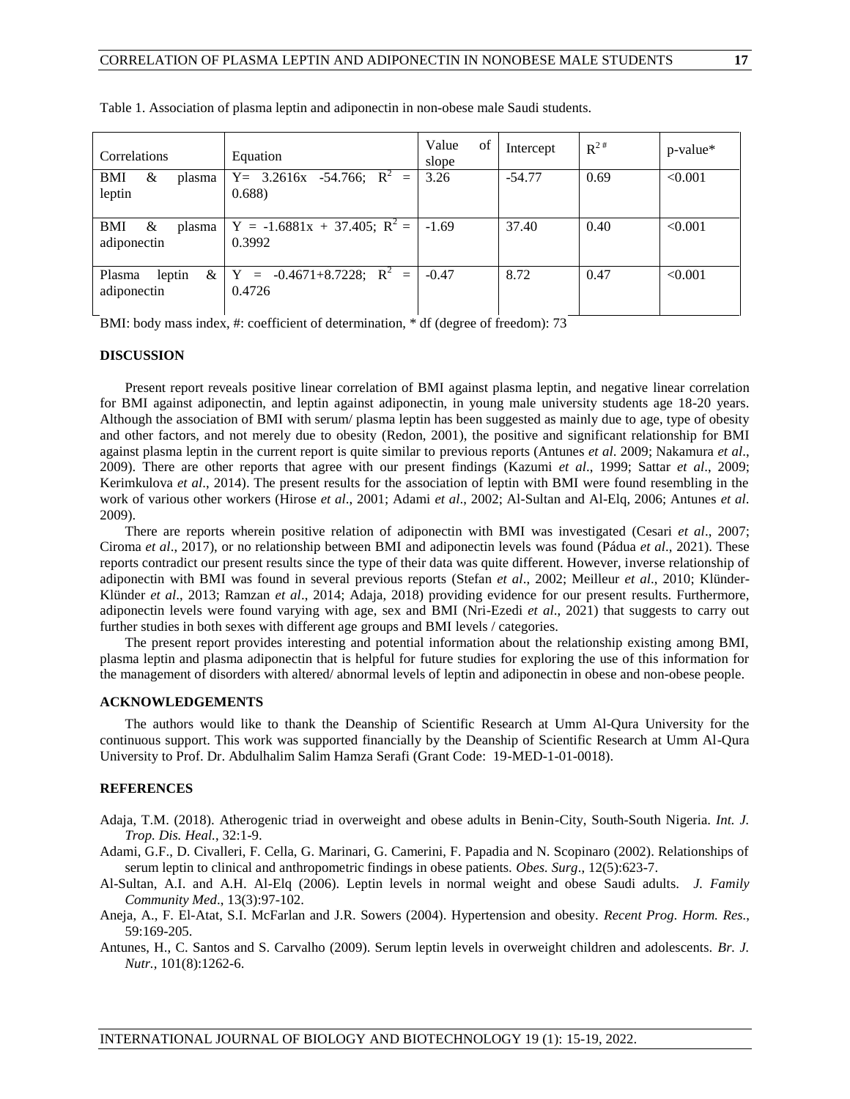| Correlations                              | Equation                                   | Value<br>of<br>slope | Intercept | $R^{2#}$ | $p$ -value* |
|-------------------------------------------|--------------------------------------------|----------------------|-----------|----------|-------------|
| &<br>BMI<br>plasma<br>leptin              | $Y = 3.2616x -54.766; R^2 =$<br>0.688      | 3.26                 | $-54.77$  | 0.69     | < 0.001     |
| &<br>BMI<br>plasma<br>adiponectin         | $Y = -1.6881x + 37.405; R^2 =$<br>0.3992   | $-1.69$              | 37.40     | 0.40     | < 0.001     |
| Plasma<br>$\&\,$<br>leptin<br>adiponectin | $Y = -0.4671 + 8.7228$ ; $R^2 =$<br>0.4726 | $-0.47$              | 8.72      | 0.47     | < 0.001     |

Table 1. Association of plasma leptin and adiponectin in non-obese male Saudi students.

BMI: body mass index, #: coefficient of determination, \* df (degree of freedom): 73

#### **DISCUSSION**

Present report reveals positive linear correlation of BMI against plasma leptin, and negative linear correlation for BMI against adiponectin, and leptin against adiponectin, in young male university students age 18-20 years. Although the association of BMI with serum/ plasma leptin has been suggested as mainly due to age, type of obesity and other factors, and not merely due to obesity (Redon, 2001), the positive and significant relationship for BMI against plasma leptin in the current report is quite similar to previous reports (Antunes *et al*. 2009; Nakamura *et al*., 2009). There are other reports that agree with our present findings (Kazumi *et al*., 1999; Sattar *et al*., 2009; Kerimkulova *et al*., 2014). The present results for the association of leptin with BMI were found resembling in the work of various other workers (Hirose *et al*., 2001; Adami *et al*., 2002; Al-Sultan and Al-Elq, 2006; Antunes *et al*. 2009).

There are reports wherein positive relation of adiponectin with BMI was investigated (Cesari *et al*., 2007; Ciroma *et al*., 2017), or no relationship between BMI and adiponectin levels was found (Pádua *et al*., 2021). These reports contradict our present results since the type of their data was quite different. However, inverse relationship of adiponectin with BMI was found in several previous reports (Stefan *et al*., 2002; Meilleur *et al*., 2010; Klünder-Klünder *et al*., 2013; Ramzan *et al*., 2014; Adaja, 2018) providing evidence for our present results. Furthermore, adiponectin levels were found varying with age, sex and BMI (Nri-Ezedi *et al*., 2021) that suggests to carry out further studies in both sexes with different age groups and BMI levels / categories.

The present report provides interesting and potential information about the relationship existing among BMI, plasma leptin and plasma adiponectin that is helpful for future studies for exploring the use of this information for the management of disorders with altered/ abnormal levels of leptin and adiponectin in obese and non-obese people.

## **ACKNOWLEDGEMENTS**

The authors would like to thank the Deanship of Scientific Research at Umm Al-Qura University for the continuous support. This work was supported financially by the Deanship of Scientific Research at Umm Al-Qura University to Prof. Dr. Abdulhalim Salim Hamza Serafi (Grant Code: 19-MED-1-01-0018).

### **REFERENCES**

- Adaja, T.M. (2018). Atherogenic triad in overweight and obese adults in Benin-City, South-South Nigeria. *Int. J. Trop. Dis. Heal.*, 32:1-9.
- Adami, G.F., D. Civalleri, F. Cella, G. Marinari, G. Camerini, F. Papadia and N. Scopinaro (2002). Relationships of serum leptin to clinical and anthropometric findings in obese patients. *Obes. Surg*., 12(5):623-7.
- Al-Sultan, A.I. and A.H. Al-Elq (2006). Leptin levels in normal weight and obese Saudi adults. *J. Family Community Med*., 13(3):97-102.
- Aneja, A., F. El-Atat, S.I. McFarlan and J.R. Sowers (2004). Hypertension and obesity. *Recent Prog. Horm. Res.*, 59:169-205.
- Antunes, H., C. Santos and S. Carvalho (2009). Serum leptin levels in overweight children and adolescents. *Br. J. Nutr.,* 101(8):1262-6.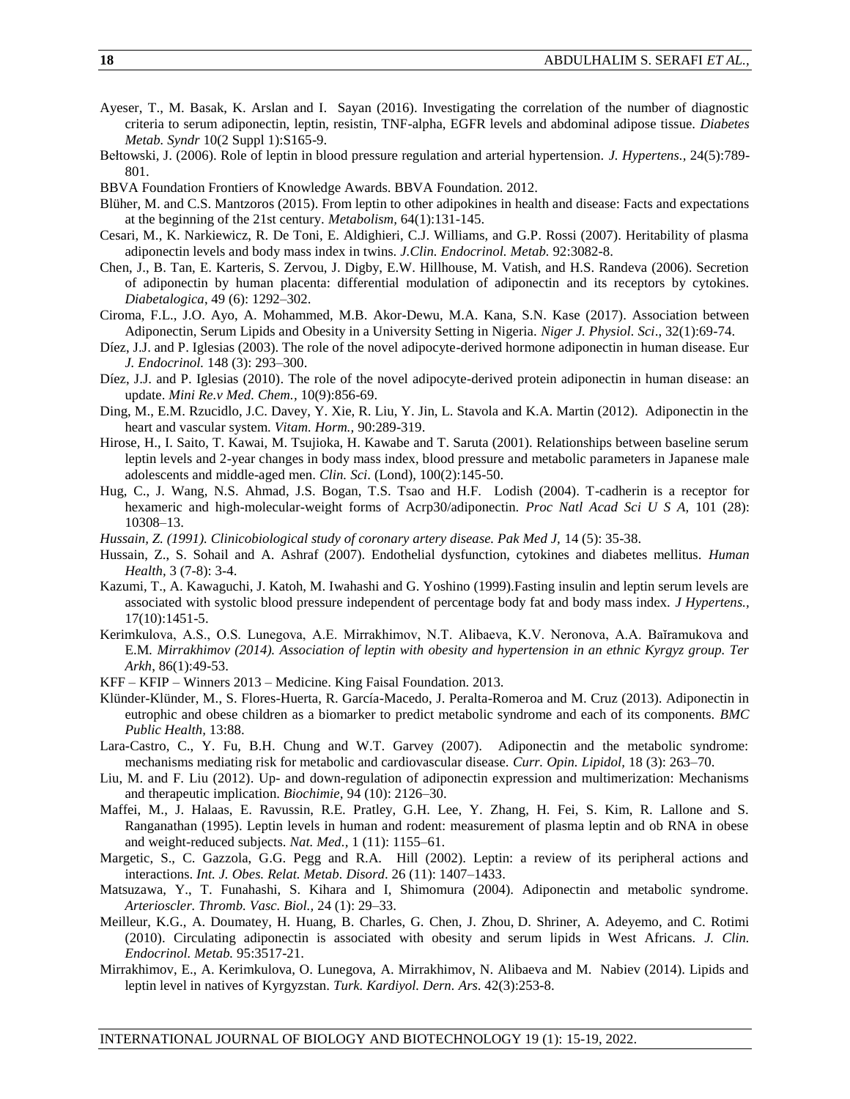- Ayeser, T., M. Basak, K. Arslan and I. Sayan (2016). Investigating the correlation of the number of diagnostic criteria to serum adiponectin, leptin, resistin, TNF-alpha, EGFR levels and abdominal adipose tissue. *Diabetes Metab. Syndr* 10(2 Suppl 1):S165-9.
- Bełtowski, J. (2006). Role of leptin in blood pressure regulation and arterial hypertension. *J. Hypertens.,* 24(5):789- 801.
- BBVA Foundation Frontiers of Knowledge Awards. BBVA Foundation. 2012.
- Blüher, M. and C.S. Mantzoros (2015). From leptin to other adipokines in health and disease: Facts and expectations at the beginning of the 21st century. *Metabolism,* 64(1):131-145.
- Cesari, M., K. Narkiewicz, R. De Toni, E. Aldighieri, C.J. Williams, and G.P. Rossi (2007). Heritability of plasma adiponectin levels and body mass index in twins. *J.Clin. Endocrinol. Metab.* 92:3082-8.
- Chen, J., B. Tan, E. Karteris, S. Zervou, J. Digby, E.W. Hillhouse, M. Vatish, and H.S. Randeva (2006). Secretion of adiponectin by human placenta: differential modulation of adiponectin and its receptors by cytokines. *Diabetalogica*, 49 (6): 1292–302.
- Ciroma, F.L., J.O. Ayo, A. Mohammed, M.B. Akor-Dewu, M.A. Kana, S.N. Kase (2017). Association between Adiponectin, Serum Lipids and Obesity in a University Setting in Nigeria. *Niger J. Physiol. Sci*., 32(1):69-74.
- Díez, J.J. and P. Iglesias (2003). The role of the novel adipocyte-derived hormone adiponectin in human disease. Eur *J. Endocrinol.* 148 (3): 293–300.
- Díez, J.J. and P. Iglesias (2010). The role of the novel adipocyte-derived protein adiponectin in human disease: an update. *Mini Re.v Med. Chem.,* 10(9):856-69.
- Ding, M., E.M. Rzucidlo, J.C. Davey, Y. Xie, R. Liu, Y. Jin, L. Stavola and K.A. Martin (2012). Adiponectin in the heart and vascular system. *Vitam. Horm.,* 90:289-319.
- Hirose, H., I. Saito, T. Kawai, M. Tsujioka, H. Kawabe and T. Saruta (2001). Relationships between baseline serum leptin levels and 2-year changes in body mass index, blood pressure and metabolic parameters in Japanese male adolescents and middle-aged men. *Clin. Sci*. (Lond), 100(2):145-50.
- Hug, C., J. Wang, N.S. Ahmad, J.S. Bogan, T.S. Tsao and H.F. Lodish (2004). T-cadherin is a receptor for hexameric and high-molecular-weight forms of Acrp30/adiponectin. *Proc Natl Acad Sci U S A,* 101 (28): 10308–13.
- *Hussain, Z. (1991). Clinicobiological study of coronary artery disease. Pak Med J,* 14 (5): 35-38.
- Hussain, Z., S. Sohail and A. Ashraf (2007). Endothelial dysfunction, cytokines and diabetes mellitus. *Human Health,* 3 (7-8): 3-4.
- Kazumi, T., A. Kawaguchi, J. Katoh, M. Iwahashi and G. Yoshino (1999).Fasting insulin and leptin serum levels are associated with systolic blood pressure independent of percentage body fat and body mass index. *J Hypertens.,* 17(10):1451-5.
- Kerimkulova, A.S., O.S. Lunegova, A.E. Mirrakhimov, N.T. Alibaeva, K.V. Neronova, A.A. Baĭramukova and E.M*. Mirrakhimov (2014). Association of leptin with obesity and hypertension in an ethnic Kyrgyz group. Ter Arkh*, 86(1):49-53.
- KFF KFIP Winners 2013 Medicine. King Faisal Foundation. 2013.
- Klünder-Klünder, M., S. Flores-Huerta, R. García-Macedo, J. Peralta-Romeroa and M. Cruz (2013). Adiponectin in eutrophic and obese children as a biomarker to predict metabolic syndrome and each of its components. *BMC Public Health,* 13:88.
- Lara-Castro, C., Y. Fu, B.H. Chung and W.T. Garvey (2007). Adiponectin and the metabolic syndrome: mechanisms mediating risk for metabolic and cardiovascular disease. *Curr. Opin. Lipidol,* 18 (3): 263–70.
- Liu, M. and F. Liu (2012). Up- and down-regulation of adiponectin expression and multimerization: Mechanisms and therapeutic implication. *Biochimie,* 94 (10): 2126–30.
- Maffei, M., J. Halaas, E. Ravussin, R.E. Pratley, G.H. Lee, Y. Zhang, H. Fei, S. Kim, R. Lallone and S. Ranganathan (1995). Leptin levels in human and rodent: measurement of plasma leptin and ob RNA in obese and weight-reduced subjects. *Nat. Med.,* 1 (11): 1155–61.
- Margetic, S., C. Gazzola, G.G. Pegg and R.A. Hill (2002). Leptin: a review of its peripheral actions and interactions. *Int. J. Obes. Relat. Metab. Disord*. 26 (11): 1407–1433.
- Matsuzawa, Y., T. Funahashi, S. Kihara and I, Shimomura (2004). Adiponectin and metabolic syndrome. *Arterioscler. Thromb. Vasc. Biol.,* 24 (1): 29–33.
- Meilleur, K.G., A. Doumatey, H. Huang, B. Charles, G. Chen, J. Zhou, D. Shriner, A. Adeyemo, and C. Rotimi (2010). Circulating adiponectin is associated with obesity and serum lipids in West Africans. *J. Clin. Endocrinol. Metab.* 95:3517-21.
- Mirrakhimov, E., A. Kerimkulova, O. Lunegova, A. Mirrakhimov, N. Alibaeva and M. Nabiev (2014). Lipids and leptin level in natives of Kyrgyzstan. *Turk. Kardiyol. Dern. Ars*. 42(3):253-8.